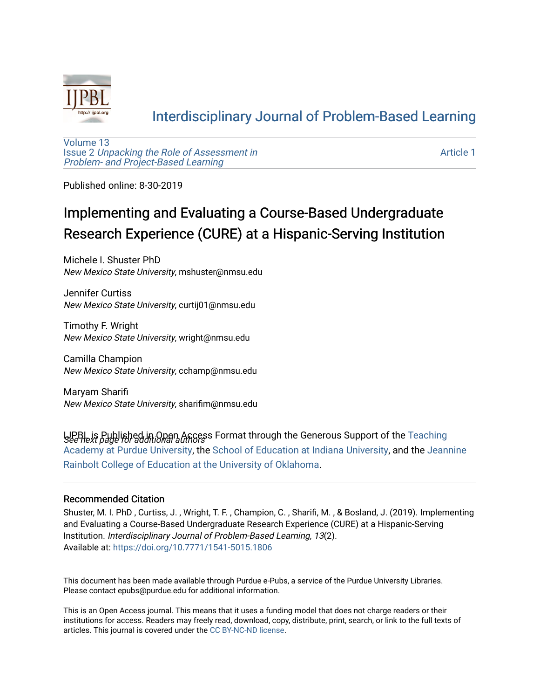

## [Interdisciplinary Journal of Problem-Based Learning](https://docs.lib.purdue.edu/ijpbl)

[Volume 13](https://docs.lib.purdue.edu/ijpbl/vol13) Issue 2 [Unpacking the Role of Assessment in](https://docs.lib.purdue.edu/ijpbl/vol13/iss2)  [Problem- and Project-Based Learning](https://docs.lib.purdue.edu/ijpbl/vol13/iss2)

[Article 1](https://docs.lib.purdue.edu/ijpbl/vol13/iss2/1) 

Published online: 8-30-2019

# Implementing and Evaluating a Course-Based Undergraduate Research Experience (CURE) at a Hispanic-Serving Institution

Michele I. Shuster PhD New Mexico State University, mshuster@nmsu.edu

Jennifer Curtiss New Mexico State University, curtij01@nmsu.edu

Timothy F. Wright New Mexico State University, wright@nmsu.edu

Camilla Champion New Mexico State University, cchamp@nmsu.edu

Maryam Sharifi New Mexico State University, sharifim@nmsu.edu

UPBL is Published in Open Access Format through the Generous Support of the [Teaching](https://www.purdue.edu/cie/aboutus/teachingacademy.html)<br>See next page for additional admoss [Academy at Purdue University](https://www.purdue.edu/cie/aboutus/teachingacademy.html), the [School of Education at Indiana University,](https://education.indiana.edu/index.html) and the [Jeannine](http://ou.edu/education) [Rainbolt College of Education at the University of Oklahoma](http://ou.edu/education).

#### Recommended Citation

Shuster, M. I. PhD , Curtiss, J. , Wright, T. F. , Champion, C. , Sharifi, M. , & Bosland, J. (2019). Implementing and Evaluating a Course-Based Undergraduate Research Experience (CURE) at a Hispanic-Serving Institution. Interdisciplinary Journal of Problem-Based Learning, 13(2). Available at:<https://doi.org/10.7771/1541-5015.1806>

This document has been made available through Purdue e-Pubs, a service of the Purdue University Libraries. Please contact epubs@purdue.edu for additional information.

This is an Open Access journal. This means that it uses a funding model that does not charge readers or their institutions for access. Readers may freely read, download, copy, distribute, print, search, or link to the full texts of articles. This journal is covered under the [CC BY-NC-ND license](https://creativecommons.org/licenses/by-nc-nd/4.0/).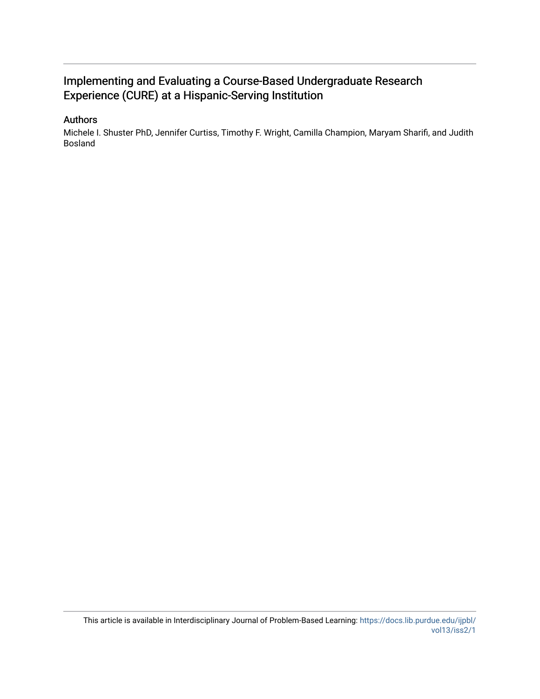### Implementing and Evaluating a Course-Based Undergraduate Research Experience (CURE) at a Hispanic-Serving Institution

#### Authors

Michele I. Shuster PhD, Jennifer Curtiss, Timothy F. Wright, Camilla Champion, Maryam Sharifi, and Judith Bosland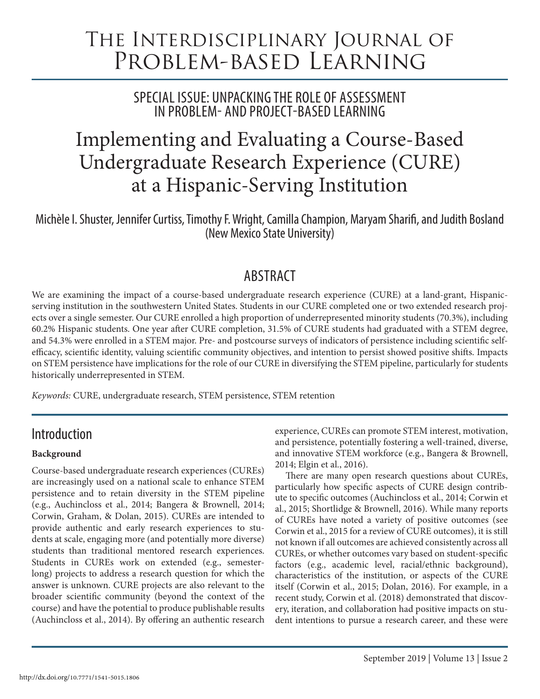# The Interdisciplinary Journal of Problem-based Learning

SPECIAL ISSUE: UNPACKING THE ROLE OF ASSESSMENT IN PROBLEM- AND PROJECT-BASED LEARNING

# Implementing and Evaluating a Course-Based Undergraduate Research Experience (CURE) at a Hispanic-Serving Institution

Michèle I. Shuster, Jennifer Curtiss, Timothy F. Wright, Camilla Champion, Maryam Sharifi, and Judith Bosland (New Mexico State University)

### ABSTRACT

We are examining the impact of a course-based undergraduate research experience (CURE) at a land-grant, Hispanicserving institution in the southwestern United States. Students in our CURE completed one or two extended research projects over a single semester. Our CURE enrolled a high proportion of underrepresented minority students (70.3%), including 60.2% Hispanic students. One year after CURE completion, 31.5% of CURE students had graduated with a STEM degree, and 54.3% were enrolled in a STEM major. Pre- and postcourse surveys of indicators of persistence including scientific selfefficacy, scientific identity, valuing scientific community objectives, and intention to persist showed positive shifts. Impacts on STEM persistence have implications for the role of our CURE in diversifying the STEM pipeline, particularly for students historically underrepresented in STEM.

*Keywords:* CURE, undergraduate research, STEM persistence, STEM retention

### Introduction

#### **Background**

Course-based undergraduate research experiences (CUREs) are increasingly used on a national scale to enhance STEM persistence and to retain diversity in the STEM pipeline (e.g., Auchincloss et al., 2014; Bangera & Brownell, 2014; Corwin, Graham, & Dolan, 2015). CUREs are intended to provide authentic and early research experiences to students at scale, engaging more (and potentially more diverse) students than traditional mentored research experiences. Students in CUREs work on extended (e.g., semesterlong) projects to address a research question for which the answer is unknown. CURE projects are also relevant to the broader scientific community (beyond the context of the course) and have the potential to produce publishable results (Auchincloss et al., 2014). By offering an authentic research

experience, CUREs can promote STEM interest, motivation, and persistence, potentially fostering a well-trained, diverse, and innovative STEM workforce (e.g., Bangera & Brownell, 2014; Elgin et al., 2016).

There are many open research questions about CUREs, particularly how specific aspects of CURE design contribute to specific outcomes (Auchincloss et al., 2014; Corwin et al., 2015; Shortlidge & Brownell, 2016). While many reports of CUREs have noted a variety of positive outcomes (see Corwin et al., 2015 for a review of CURE outcomes), it is still not known if all outcomes are achieved consistently across all CUREs, or whether outcomes vary based on student-specific factors (e.g., academic level, racial/ethnic background), characteristics of the institution, or aspects of the CURE itself (Corwin et al., 2015; Dolan, 2016). For example, in a recent study, Corwin et al. (2018) demonstrated that discovery, iteration, and collaboration had positive impacts on student intentions to pursue a research career, and these were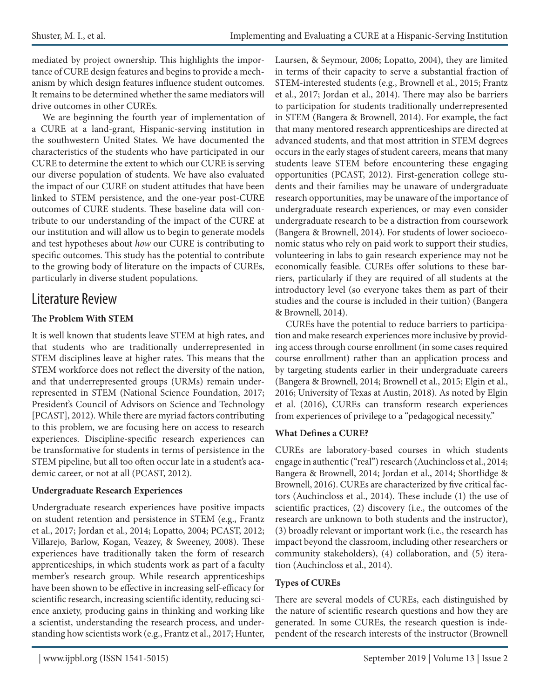mediated by project ownership. This highlights the importance of CURE design features and begins to provide a mechanism by which design features influence student outcomes. It remains to be determined whether the same mediators will drive outcomes in other CUREs.

We are beginning the fourth year of implementation of a CURE at a land-grant, Hispanic-serving institution in the southwestern United States. We have documented the characteristics of the students who have participated in our CURE to determine the extent to which our CURE is serving our diverse population of students. We have also evaluated the impact of our CURE on student attitudes that have been linked to STEM persistence, and the one-year post-CURE outcomes of CURE students. These baseline data will contribute to our understanding of the impact of the CURE at our institution and will allow us to begin to generate models and test hypotheses about *how* our CURE is contributing to specific outcomes. This study has the potential to contribute to the growing body of literature on the impacts of CUREs, particularly in diverse student populations.

### Literature Review

#### **The Problem With STEM**

It is well known that students leave STEM at high rates, and that students who are traditionally underrepresented in STEM disciplines leave at higher rates. This means that the STEM workforce does not reflect the diversity of the nation, and that underrepresented groups (URMs) remain underrepresented in STEM (National Science Foundation, 2017; President's Council of Advisors on Science and Technology [PCAST], 2012). While there are myriad factors contributing to this problem, we are focusing here on access to research experiences. Discipline-specific research experiences can be transformative for students in terms of persistence in the STEM pipeline, but all too often occur late in a student's academic career, or not at all (PCAST, 2012).

#### **Undergraduate Research Experiences**

Undergraduate research experiences have positive impacts on student retention and persistence in STEM (e.g., Frantz et al., 2017; Jordan et al., 2014; Lopatto, 2004; PCAST, 2012; Villarejo, Barlow, Kogan, Veazey, & Sweeney, 2008). These experiences have traditionally taken the form of research apprenticeships, in which students work as part of a faculty member's research group. While research apprenticeships have been shown to be effective in increasing self-efficacy for scientific research, increasing scientific identity, reducing science anxiety, producing gains in thinking and working like a scientist, understanding the research process, and understanding how scientists work (e.g., Frantz et al., 2017; Hunter,

Laursen, & Seymour, 2006; Lopatto, 2004), they are limited in terms of their capacity to serve a substantial fraction of STEM-interested students (e.g., Brownell et al., 2015; Frantz et al., 2017; Jordan et al., 2014). There may also be barriers to participation for students traditionally underrepresented in STEM (Bangera & Brownell, 2014). For example, the fact that many mentored research apprenticeships are directed at advanced students, and that most attrition in STEM degrees occurs in the early stages of student careers, means that many students leave STEM before encountering these engaging opportunities (PCAST, 2012). First-generation college students and their families may be unaware of undergraduate research opportunities, may be unaware of the importance of undergraduate research experiences, or may even consider undergraduate research to be a distraction from coursework (Bangera & Brownell, 2014). For students of lower socioeconomic status who rely on paid work to support their studies, volunteering in labs to gain research experience may not be economically feasible. CUREs offer solutions to these barriers, particularly if they are required of all students at the introductory level (so everyone takes them as part of their studies and the course is included in their tuition) (Bangera & Brownell, 2014).

CUREs have the potential to reduce barriers to participation and make research experiences more inclusive by providing access through course enrollment (in some cases required course enrollment) rather than an application process and by targeting students earlier in their undergraduate careers (Bangera & Brownell, 2014; Brownell et al., 2015; Elgin et al., 2016; University of Texas at Austin, 2018). As noted by Elgin et al. (2016), CUREs can transform research experiences from experiences of privilege to a "pedagogical necessity."

#### **What Defines a CURE?**

CUREs are laboratory-based courses in which students engage in authentic ("real") research (Auchincloss et al., 2014; Bangera & Brownell, 2014; Jordan et al., 2014; Shortlidge & Brownell, 2016). CUREs are characterized by five critical factors (Auchincloss et al., 2014). These include (1) the use of scientific practices, (2) discovery (i.e., the outcomes of the research are unknown to both students and the instructor), (3) broadly relevant or important work (i.e., the research has impact beyond the classroom, including other researchers or community stakeholders), (4) collaboration, and (5) iteration (Auchincloss et al., 2014).

#### **Types of CUREs**

There are several models of CUREs, each distinguished by the nature of scientific research questions and how they are generated. In some CUREs, the research question is independent of the research interests of the instructor (Brownell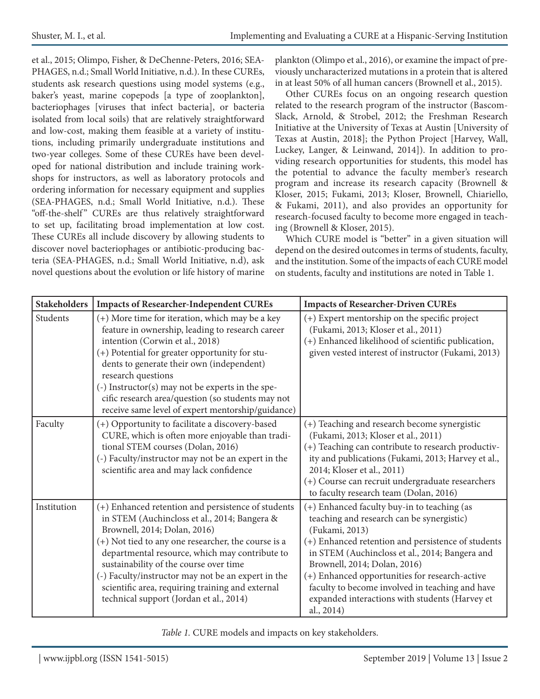et al., 2015; Olimpo, Fisher, & DeChenne-Peters, 2016; SEA-PHAGES, n.d.; Small World Initiative, n.d.). In these CUREs, students ask research questions using model systems (e.g., baker's yeast, marine copepods [a type of zooplankton], bacteriophages [viruses that infect bacteria], or bacteria isolated from local soils) that are relatively straightforward and low-cost, making them feasible at a variety of institutions, including primarily undergraduate institutions and two-year colleges. Some of these CUREs have been developed for national distribution and include training workshops for instructors, as well as laboratory protocols and ordering information for necessary equipment and supplies (SEA-PHAGES, n.d.; Small World Initiative, n.d.). These "off-the-shelf" CUREs are thus relatively straightforward to set up, facilitating broad implementation at low cost. These CUREs all include discovery by allowing students to discover novel bacteriophages or antibiotic-producing bacteria (SEA-PHAGES, n.d.; Small World Initiative, n.d), ask novel questions about the evolution or life history of marine plankton (Olimpo et al., 2016), or examine the impact of previously uncharacterized mutations in a protein that is altered in at least 50% of all human cancers (Brownell et al., 2015).

Other CUREs focus on an ongoing research question related to the research program of the instructor (Bascom-Slack, Arnold, & Strobel, 2012; the Freshman Research Initiative at the University of Texas at Austin [University of Texas at Austin, 2018]; the Python Project [Harvey, Wall, Luckey, Langer, & Leinwand, 2014]). In addition to providing research opportunities for students, this model has the potential to advance the faculty member's research program and increase its research capacity (Brownell & Kloser, 2015; Fukami, 2013; Kloser, Brownell, Chiariello, & Fukami, 2011), and also provides an opportunity for research-focused faculty to become more engaged in teaching (Brownell & Kloser, 2015).

Which CURE model is "better" in a given situation will depend on the desired outcomes in terms of students, faculty, and the institution. Some of the impacts of each CURE model on students, faculty and institutions are noted in Table 1.

| <b>Stakeholders</b> | <b>Impacts of Researcher-Independent CUREs</b>                                                                                                                                                                                                                                                                                                                                                                                             | <b>Impacts of Researcher-Driven CUREs</b>                                                                                                                                                                                                                                                                                                                                                                               |  |  |  |
|---------------------|--------------------------------------------------------------------------------------------------------------------------------------------------------------------------------------------------------------------------------------------------------------------------------------------------------------------------------------------------------------------------------------------------------------------------------------------|-------------------------------------------------------------------------------------------------------------------------------------------------------------------------------------------------------------------------------------------------------------------------------------------------------------------------------------------------------------------------------------------------------------------------|--|--|--|
| Students            | (+) More time for iteration, which may be a key<br>feature in ownership, leading to research career<br>intention (Corwin et al., 2018)<br>(+) Potential for greater opportunity for stu-<br>dents to generate their own (independent)<br>research questions<br>(-) Instructor(s) may not be experts in the spe-<br>cific research area/question (so students may not<br>receive same level of expert mentorship/guidance)                  | (+) Expert mentorship on the specific project<br>(Fukami, 2013; Kloser et al., 2011)<br>(+) Enhanced likelihood of scientific publication,<br>given vested interest of instructor (Fukami, 2013)                                                                                                                                                                                                                        |  |  |  |
| Faculty             | (+) Opportunity to facilitate a discovery-based<br>CURE, which is often more enjoyable than tradi-<br>tional STEM courses (Dolan, 2016)<br>(-) Faculty/instructor may not be an expert in the<br>scientific area and may lack confidence                                                                                                                                                                                                   | (+) Teaching and research become synergistic<br>(Fukami, 2013; Kloser et al., 2011)<br>(+) Teaching can contribute to research productiv-<br>ity and publications (Fukami, 2013; Harvey et al.,<br>2014; Kloser et al., 2011)<br>(+) Course can recruit undergraduate researchers<br>to faculty research team (Dolan, 2016)                                                                                             |  |  |  |
| Institution         | (+) Enhanced retention and persistence of students<br>in STEM (Auchincloss et al., 2014; Bangera &<br>Brownell, 2014; Dolan, 2016)<br>(+) Not tied to any one researcher, the course is a<br>departmental resource, which may contribute to<br>sustainability of the course over time<br>(-) Faculty/instructor may not be an expert in the<br>scientific area, requiring training and external<br>technical support (Jordan et al., 2014) | (+) Enhanced faculty buy-in to teaching (as<br>teaching and research can be synergistic)<br>(Fukami, 2013)<br>(+) Enhanced retention and persistence of students<br>in STEM (Auchincloss et al., 2014; Bangera and<br>Brownell, 2014; Dolan, 2016)<br>(+) Enhanced opportunities for research-active<br>faculty to become involved in teaching and have<br>expanded interactions with students (Harvey et<br>al., 2014) |  |  |  |

*Table 1.* CURE models and impacts on key stakeholders.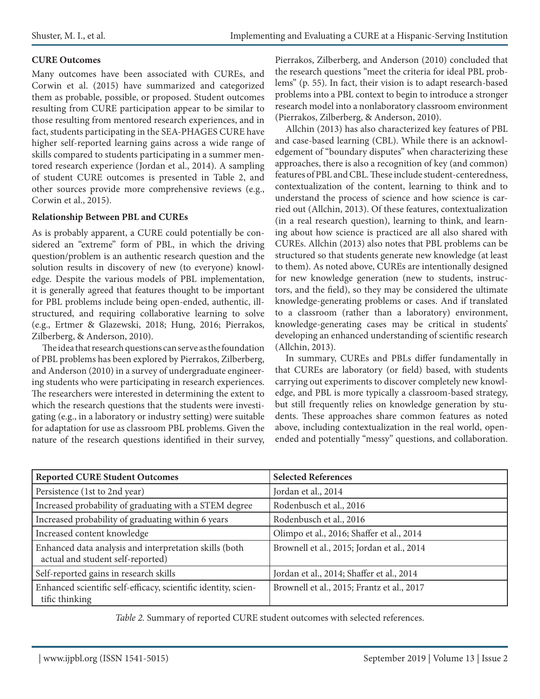#### **CURE Outcomes**

Many outcomes have been associated with CUREs, and Corwin et al. (2015) have summarized and categorized them as probable, possible, or proposed. Student outcomes resulting from CURE participation appear to be similar to those resulting from mentored research experiences, and in fact, students participating in the SEA-PHAGES CURE have higher self-reported learning gains across a wide range of skills compared to students participating in a summer mentored research experience (Jordan et al., 2014). A sampling of student CURE outcomes is presented in Table 2, and other sources provide more comprehensive reviews (e.g., Corwin et al., 2015).

#### **Relationship Between PBL and CUREs**

As is probably apparent, a CURE could potentially be considered an "extreme" form of PBL, in which the driving question/problem is an authentic research question and the solution results in discovery of new (to everyone) knowledge. Despite the various models of PBL implementation, it is generally agreed that features thought to be important for PBL problems include being open-ended, authentic, illstructured, and requiring collaborative learning to solve (e.g., Ertmer & Glazewski, 2018; Hung, 2016; Pierrakos, Zilberberg, & Anderson, 2010).

The idea that research questions can serve as the foundation of PBL problems has been explored by Pierrakos, Zilberberg, and Anderson (2010) in a survey of undergraduate engineering students who were participating in research experiences. The researchers were interested in determining the extent to which the research questions that the students were investigating (e.g., in a laboratory or industry setting) were suitable for adaptation for use as classroom PBL problems. Given the nature of the research questions identified in their survey, Pierrakos, Zilberberg, and Anderson (2010) concluded that the research questions "meet the criteria for ideal PBL problems" (p. 55). In fact, their vision is to adapt research-based problems into a PBL context to begin to introduce a stronger research model into a nonlaboratory classroom environment (Pierrakos, Zilberberg, & Anderson, 2010).

Allchin (2013) has also characterized key features of PBL and case-based learning (CBL). While there is an acknowledgement of "boundary disputes" when characterizing these approaches, there is also a recognition of key (and common) features of PBL and CBL. These include student-centeredness, contextualization of the content, learning to think and to understand the process of science and how science is carried out (Allchin, 2013). Of these features, contextualization (in a real research question), learning to think, and learning about how science is practiced are all also shared with CUREs. Allchin (2013) also notes that PBL problems can be structured so that students generate new knowledge (at least to them). As noted above, CUREs are intentionally designed for new knowledge generation (new to students, instructors, and the field), so they may be considered the ultimate knowledge-generating problems or cases. And if translated to a classroom (rather than a laboratory) environment, knowledge-generating cases may be critical in students' developing an enhanced understanding of scientific research (Allchin, 2013).

In summary, CUREs and PBLs differ fundamentally in that CUREs are laboratory (or field) based, with students carrying out experiments to discover completely new knowledge, and PBL is more typically a classroom-based strategy, but still frequently relies on knowledge generation by students. These approaches share common features as noted above, including contextualization in the real world, openended and potentially "messy" questions, and collaboration.

| <b>Reported CURE Student Outcomes</b>                                                       | <b>Selected References</b>                 |  |  |  |
|---------------------------------------------------------------------------------------------|--------------------------------------------|--|--|--|
| Persistence (1st to 2nd year)                                                               | Jordan et al., 2014                        |  |  |  |
| Increased probability of graduating with a STEM degree                                      | Rodenbusch et al., 2016                    |  |  |  |
| Increased probability of graduating within 6 years                                          | Rodenbusch et al., 2016                    |  |  |  |
| Increased content knowledge                                                                 | Olimpo et al., 2016; Shaffer et al., 2014  |  |  |  |
| Enhanced data analysis and interpretation skills (both<br>actual and student self-reported) | Brownell et al., 2015; Jordan et al., 2014 |  |  |  |
| Self-reported gains in research skills                                                      | Jordan et al., 2014; Shaffer et al., 2014  |  |  |  |
| Enhanced scientific self-efficacy, scientific identity, scien-<br>tific thinking            | Brownell et al., 2015; Frantz et al., 2017 |  |  |  |

*Table 2.* Summary of reported CURE student outcomes with selected references.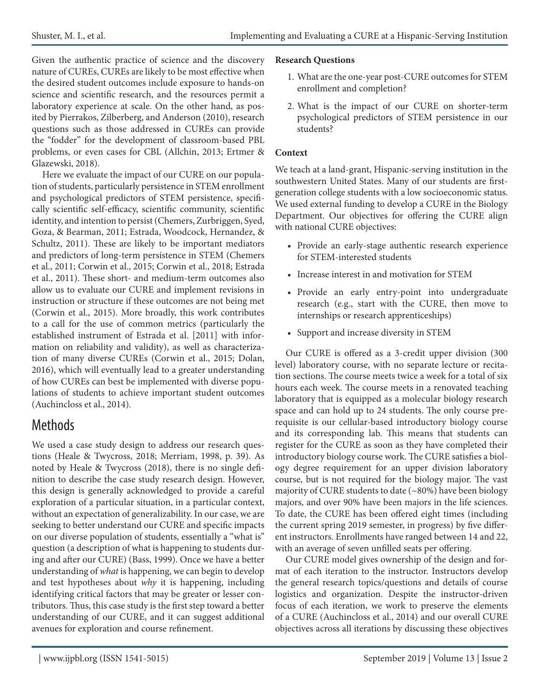Given the authentic practice of science and the discovery nature of CUREs, CUREs are likely to be most effective when the desired student outcomes include exposure to hands-on science and scientific research, and the resources permit a laboratory experience at scale. On the other hand, as posited by Pierrakos, Zilberberg, and Anderson (2010), research questions such as those addressed in CUREs can provide the "fodder" for the development of classroom-based PBL problems, or even cases for CBL (Allchin, 2013; Ertmer & Glazewski, 2018).

Here we evaluate the impact of our CURE on our population of students, particularly persistence in STEM enrollment and psychological predictors of STEM persistence, specifically scientific self-efficacy, scientific community, scientific identity, and intention to persist (Chemers, Zurbriggen, Syed, Goza, & Bearman, 2011; Estrada, Woodcock, Hernandez, & Schultz, 2011). These are likely to be important mediators and predictors of long-term persistence in STEM (Chemers et al., 2011; Corwin et al., 2015; Corwin et al., 2018; Estrada et al., 2011). These short- and medium-term outcomes also allow us to evaluate our CURE and implement revisions in instruction or structure if these outcomes are not being met (Corwin et al., 2015). More broadly, this work contributes to a call for the use of common metrics (particularly the established instrument of Estrada et al. [2011] with information on reliability and validity), as well as characterization of many diverse CUREs (Corwin et al., 2015; Dolan, 2016), which will eventually lead to a greater understanding of how CUREs can best be implemented with diverse populations of students to achieve important student outcomes (Auchincloss et al., 2014).

# Methods

We used a case study design to address our research questions (Heale & Twycross, 2018; Merriam, 1998, p. 39). As noted by Heale & Twycross (2018), there is no single definition to describe the case study research design. However, this design is generally acknowledged to provide a careful exploration of a particular situation, in a particular context, without an expectation of generalizability. In our case, we are seeking to better understand our CURE and specific impacts on our diverse population of students, essentially a "what is" question (a description of what is happening to students during and after our CURE) (Bass, 1999). Once we have a better understanding of *what* is happening, we can begin to develop and test hypotheses about *why* it is happening, including identifying critical factors that may be greater or lesser contributors. Thus, this case study is the first step toward a better understanding of our CURE, and it can suggest additional avenues for exploration and course refinement.

#### **Research Questions**

- 1. What are the one-year post-CURE outcomes for STEM enrollment and completion?
- 2. What is the impact of our CURE on shorter-term psychological predictors of STEM persistence in our students?

#### **Context**

We teach at a land-grant, Hispanic-serving institution in the southwestern United States. Many of our students are firstgeneration college students with a low socioeconomic status. We used external funding to develop a CURE in the Biology Department. Our objectives for offering the CURE align with national CURE objectives:

- Provide an early-stage authentic research experience for STEM-interested students
- Increase interest in and motivation for STEM
- Provide an early entry-point into undergraduate research (e.g., start with the CURE, then move to internships or research apprenticeships)
- Support and increase diversity in STEM

Our CURE is offered as a 3-credit upper division (300 level) laboratory course, with no separate lecture or recitation sections. The course meets twice a week for a total of six hours each week. The course meets in a renovated teaching laboratory that is equipped as a molecular biology research space and can hold up to 24 students. The only course prerequisite is our cellular-based introductory biology course and its corresponding lab. This means that students can register for the CURE as soon as they have completed their introductory biology course work. The CURE satisfies a biology degree requirement for an upper division laboratory course, but is not required for the biology major. The vast majority of CURE students to date (~80%) have been biology majors, and over 90% have been majors in the life sciences. To date, the CURE has been offered eight times (including the current spring 2019 semester, in progress) by five different instructors. Enrollments have ranged between 14 and 22, with an average of seven unfilled seats per offering.

Our CURE model gives ownership of the design and format of each iteration to the instructor. Instructors develop the general research topics/questions and details of course logistics and organization. Despite the instructor-driven focus of each iteration, we work to preserve the elements of a CURE (Auchincloss et al., 2014) and our overall CURE objectives across all iterations by discussing these objectives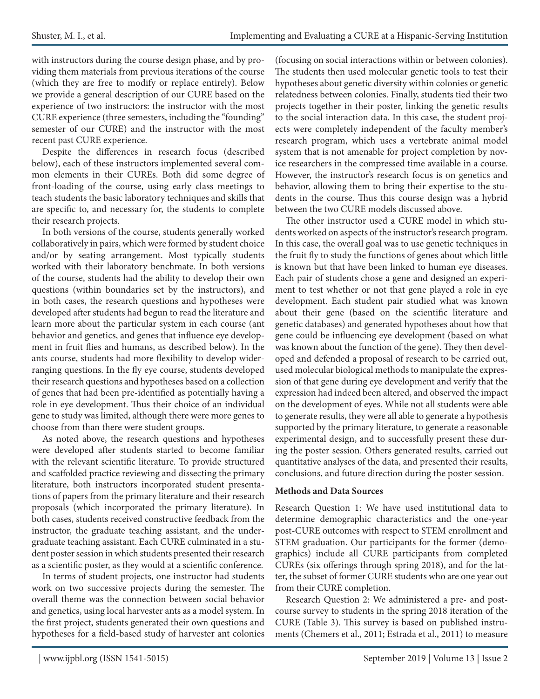with instructors during the course design phase, and by providing them materials from previous iterations of the course (which they are free to modify or replace entirely). Below we provide a general description of our CURE based on the experience of two instructors: the instructor with the most CURE experience (three semesters, including the "founding" semester of our CURE) and the instructor with the most recent past CURE experience.

Despite the differences in research focus (described below), each of these instructors implemented several common elements in their CUREs. Both did some degree of front-loading of the course, using early class meetings to teach students the basic laboratory techniques and skills that are specific to, and necessary for, the students to complete their research projects.

In both versions of the course, students generally worked collaboratively in pairs, which were formed by student choice and/or by seating arrangement. Most typically students worked with their laboratory benchmate. In both versions of the course, students had the ability to develop their own questions (within boundaries set by the instructors), and in both cases, the research questions and hypotheses were developed after students had begun to read the literature and learn more about the particular system in each course (ant behavior and genetics, and genes that influence eye development in fruit flies and humans, as described below). In the ants course, students had more flexibility to develop widerranging questions. In the fly eye course, students developed their research questions and hypotheses based on a collection of genes that had been pre-identified as potentially having a role in eye development. Thus their choice of an individual gene to study was limited, although there were more genes to choose from than there were student groups.

As noted above, the research questions and hypotheses were developed after students started to become familiar with the relevant scientific literature. To provide structured and scaffolded practice reviewing and dissecting the primary literature, both instructors incorporated student presentations of papers from the primary literature and their research proposals (which incorporated the primary literature). In both cases, students received constructive feedback from the instructor, the graduate teaching assistant, and the undergraduate teaching assistant. Each CURE culminated in a student poster session in which students presented their research as a scientific poster, as they would at a scientific conference.

In terms of student projects, one instructor had students work on two successive projects during the semester. The overall theme was the connection between social behavior and genetics, using local harvester ants as a model system. In the first project, students generated their own questions and hypotheses for a field-based study of harvester ant colonies (focusing on social interactions within or between colonies). The students then used molecular genetic tools to test their hypotheses about genetic diversity within colonies or genetic relatedness between colonies. Finally, students tied their two projects together in their poster, linking the genetic results to the social interaction data. In this case, the student projects were completely independent of the faculty member's research program, which uses a vertebrate animal model system that is not amenable for project completion by novice researchers in the compressed time available in a course. However, the instructor's research focus is on genetics and behavior, allowing them to bring their expertise to the students in the course. Thus this course design was a hybrid between the two CURE models discussed above.

The other instructor used a CURE model in which students worked on aspects of the instructor's research program. In this case, the overall goal was to use genetic techniques in the fruit fly to study the functions of genes about which little is known but that have been linked to human eye diseases. Each pair of students chose a gene and designed an experiment to test whether or not that gene played a role in eye development. Each student pair studied what was known about their gene (based on the scientific literature and genetic databases) and generated hypotheses about how that gene could be influencing eye development (based on what was known about the function of the gene). They then developed and defended a proposal of research to be carried out, used molecular biological methods to manipulate the expression of that gene during eye development and verify that the expression had indeed been altered, and observed the impact on the development of eyes. While not all students were able to generate results, they were all able to generate a hypothesis supported by the primary literature, to generate a reasonable experimental design, and to successfully present these during the poster session. Others generated results, carried out quantitative analyses of the data, and presented their results, conclusions, and future direction during the poster session.

#### **Methods and Data Sources**

Research Question 1: We have used institutional data to determine demographic characteristics and the one-year post-CURE outcomes with respect to STEM enrollment and STEM graduation. Our participants for the former (demographics) include all CURE participants from completed CUREs (six offerings through spring 2018), and for the latter, the subset of former CURE students who are one year out from their CURE completion.

Research Question 2: We administered a pre- and postcourse survey to students in the spring 2018 iteration of the CURE (Table 3). This survey is based on published instruments (Chemers et al., 2011; Estrada et al., 2011) to measure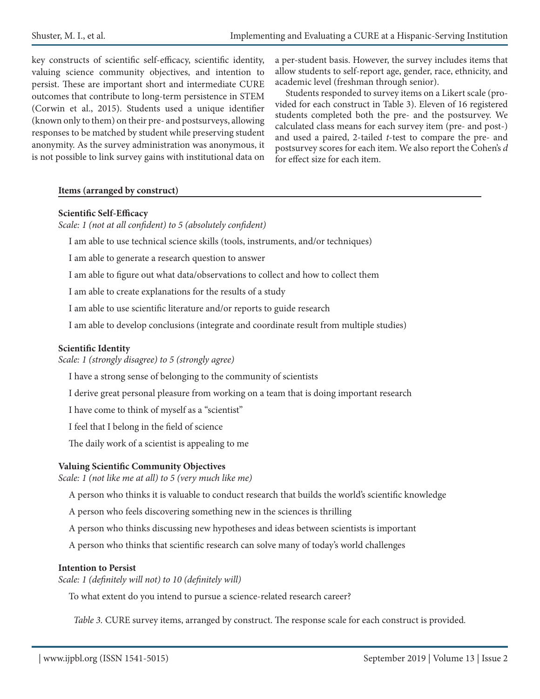key constructs of scientific self-efficacy, scientific identity, valuing science community objectives, and intention to persist. These are important short and intermediate CURE outcomes that contribute to long-term persistence in STEM (Corwin et al., 2015). Students used a unique identifier (known only to them) on their pre- and postsurveys, allowing responses to be matched by student while preserving student anonymity. As the survey administration was anonymous, it is not possible to link survey gains with institutional data on

a per-student basis. However, the survey includes items that allow students to self-report age, gender, race, ethnicity, and academic level (freshman through senior).

Students responded to survey items on a Likert scale (provided for each construct in Table 3). Eleven of 16 registered students completed both the pre- and the postsurvey. We calculated class means for each survey item (pre- and post-) and used a paired, 2-tailed *t*-test to compare the pre- and postsurvey scores for each item. We also report the Cohen's *d* for effect size for each item.

#### **Items (arranged by construct)**

#### **Scientific Self-Efficacy**

*Scale: 1 (not at all confident) to 5 (absolutely confident)*

I am able to use technical science skills (tools, instruments, and/or techniques)

I am able to generate a research question to answer

I am able to figure out what data/observations to collect and how to collect them

I am able to create explanations for the results of a study

I am able to use scientific literature and/or reports to guide research

I am able to develop conclusions (integrate and coordinate result from multiple studies)

#### **Scientific Identity**

*Scale: 1 (strongly disagree) to 5 (strongly agree)*

I have a strong sense of belonging to the community of scientists

I derive great personal pleasure from working on a team that is doing important research

I have come to think of myself as a "scientist"

I feel that I belong in the field of science

The daily work of a scientist is appealing to me

#### **Valuing Scientific Community Objectives**

*Scale: 1 (not like me at all) to 5 (very much like me)*

A person who thinks it is valuable to conduct research that builds the world's scientific knowledge

A person who feels discovering something new in the sciences is thrilling

A person who thinks discussing new hypotheses and ideas between scientists is important

A person who thinks that scientific research can solve many of today's world challenges

#### **Intention to Persist**

*Scale: 1 (definitely will not) to 10 (definitely will)*

To what extent do you intend to pursue a science-related research career?

*Table 3.* CURE survey items, arranged by construct. The response scale for each construct is provided*.*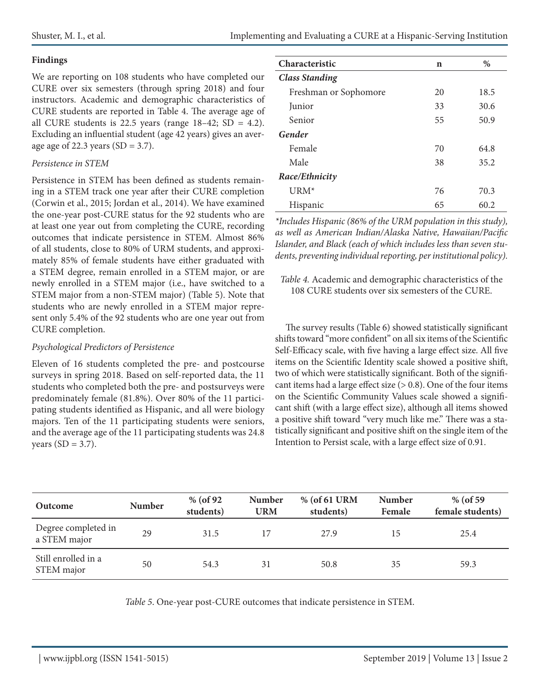#### **Findings**

We are reporting on 108 students who have completed our CURE over six semesters (through spring 2018) and four instructors. Academic and demographic characteristics of CURE students are reported in Table 4. The average age of all CURE students is 22.5 years (range  $18-42$ ; SD = 4.2). Excluding an influential student (age 42 years) gives an average age of 22.3 years  $(SD = 3.7)$ .

#### *Persistence in STEM*

Persistence in STEM has been defined as students remaining in a STEM track one year after their CURE completion (Corwin et al., 2015; Jordan et al., 2014). We have examined the one-year post-CURE status for the 92 students who are at least one year out from completing the CURE, recording outcomes that indicate persistence in STEM. Almost 86% of all students, close to 80% of URM students, and approximately 85% of female students have either graduated with a STEM degree, remain enrolled in a STEM major, or are newly enrolled in a STEM major (i.e., have switched to a STEM major from a non-STEM major) (Table 5). Note that students who are newly enrolled in a STEM major represent only 5.4% of the 92 students who are one year out from CURE completion.

#### *Psychological Predictors of Persistence*

Eleven of 16 students completed the pre- and postcourse surveys in spring 2018. Based on self-reported data, the 11 students who completed both the pre- and postsurveys were predominately female (81.8%). Over 80% of the 11 participating students identified as Hispanic, and all were biology majors. Ten of the 11 participating students were seniors, and the average age of the 11 participating students was 24.8 years  $(SD = 3.7)$ .

| <b>Characteristic</b> | n  | $\frac{0}{0}$ |
|-----------------------|----|---------------|
| <b>Class Standing</b> |    |               |
| Freshman or Sophomore | 20 | 18.5          |
| Junior                | 33 | 30.6          |
| Senior                | 55 | 50.9          |
| Gender                |    |               |
| Female                | 70 | 64.8          |
| Male                  | 38 | 35.2          |
| Race/Ethnicity        |    |               |
| $URM*$                | 76 | 70.3          |
| Hispanic              | 65 | 60.2          |

*\*Includes Hispanic (86% of the URM population in this study), as well as American Indian/Alaska Native, Hawaiian/Pacific Islander, and Black (each of which includes less than seven students, preventing individual reporting, per institutional policy).*

*Table 4.* Academic and demographic characteristics of the 108 CURE students over six semesters of the CURE.

The survey results (Table 6) showed statistically significant shifts toward "more confident" on all six items of the Scientific Self-Efficacy scale, with five having a large effect size. All five items on the Scientific Identity scale showed a positive shift, two of which were statistically significant. Both of the significant items had a large effect size  $(> 0.8)$ . One of the four items on the Scientific Community Values scale showed a significant shift (with a large effect size), although all items showed a positive shift toward "very much like me." There was a statistically significant and positive shift on the single item of the Intention to Persist scale, with a large effect size of 0.91.

| Outcome                             | <b>Number</b> | % (of $92$ )<br>students) | <b>Number</b><br><b>URM</b> | % (of 61 URM<br>students) | <b>Number</b><br>Female | % (of 59)<br>female students) |
|-------------------------------------|---------------|---------------------------|-----------------------------|---------------------------|-------------------------|-------------------------------|
| Degree completed in<br>a STEM major | 29            | 31.5                      | 17                          | 27.9                      | 15                      | 25.4                          |
| Still enrolled in a<br>STEM major   | 50            | 54.3                      | 31                          | 50.8                      | 35                      | 59.3                          |

*Table 5*. One-year post-CURE outcomes that indicate persistence in STEM.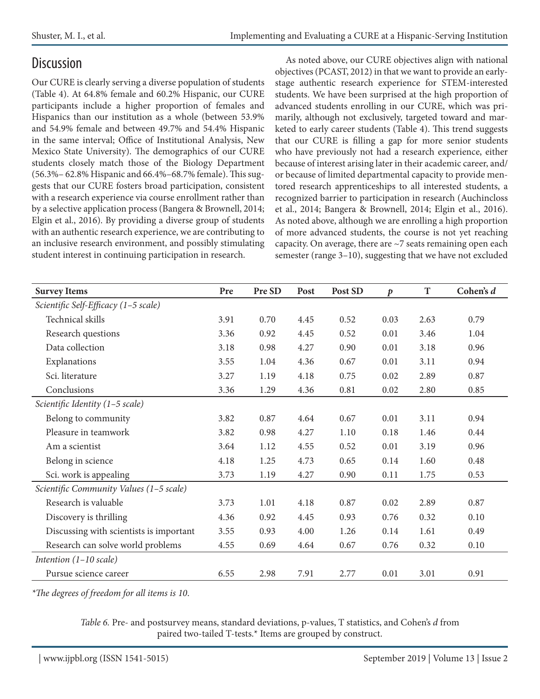## **Discussion**

Our CURE is clearly serving a diverse population of students (Table 4). At 64.8% female and 60.2% Hispanic, our CURE participants include a higher proportion of females and Hispanics than our institution as a whole (between 53.9% and 54.9% female and between 49.7% and 54.4% Hispanic in the same interval; Office of Institutional Analysis, New Mexico State University). The demographics of our CURE students closely match those of the Biology Department (56.3%– 62.8% Hispanic and 66.4%–68.7% female). This suggests that our CURE fosters broad participation, consistent with a research experience via course enrollment rather than by a selective application process (Bangera & Brownell, 2014; Elgin et al., 2016). By providing a diverse group of students with an authentic research experience, we are contributing to an inclusive research environment, and possibly stimulating student interest in continuing participation in research.

As noted above, our CURE objectives align with national objectives (PCAST, 2012) in that we want to provide an earlystage authentic research experience for STEM-interested students. We have been surprised at the high proportion of advanced students enrolling in our CURE, which was primarily, although not exclusively, targeted toward and marketed to early career students (Table 4). This trend suggests that our CURE is filling a gap for more senior students who have previously not had a research experience, either because of interest arising later in their academic career, and/ or because of limited departmental capacity to provide mentored research apprenticeships to all interested students, a recognized barrier to participation in research (Auchincloss et al., 2014; Bangera & Brownell, 2014; Elgin et al., 2016). As noted above, although we are enrolling a high proportion of more advanced students, the course is not yet reaching capacity. On average, there are  $\sim$  7 seats remaining open each semester (range 3–10), suggesting that we have not excluded

| <b>Survey Items</b>                     | Pre  | Pre SD | Post | Post SD | $\boldsymbol{p}$ | T    | Cohen's d |
|-----------------------------------------|------|--------|------|---------|------------------|------|-----------|
| Scientific Self-Efficacy (1-5 scale)    |      |        |      |         |                  |      |           |
| Technical skills                        | 3.91 | 0.70   | 4.45 | 0.52    | 0.03             | 2.63 | 0.79      |
| Research questions                      | 3.36 | 0.92   | 4.45 | 0.52    | 0.01             | 3.46 | 1.04      |
| Data collection                         | 3.18 | 0.98   | 4.27 | 0.90    | 0.01             | 3.18 | 0.96      |
| Explanations                            | 3.55 | 1.04   | 4.36 | 0.67    | 0.01             | 3.11 | 0.94      |
| Sci. literature                         | 3.27 | 1.19   | 4.18 | 0.75    | 0.02             | 2.89 | 0.87      |
| Conclusions                             | 3.36 | 1.29   | 4.36 | 0.81    | 0.02             | 2.80 | 0.85      |
| Scientific Identity (1-5 scale)         |      |        |      |         |                  |      |           |
| Belong to community                     | 3.82 | 0.87   | 4.64 | 0.67    | 0.01             | 3.11 | 0.94      |
| Pleasure in teamwork                    | 3.82 | 0.98   | 4.27 | 1.10    | 0.18             | 1.46 | 0.44      |
| Am a scientist                          | 3.64 | 1.12   | 4.55 | 0.52    | 0.01             | 3.19 | 0.96      |
| Belong in science                       | 4.18 | 1.25   | 4.73 | 0.65    | 0.14             | 1.60 | 0.48      |
| Sci. work is appealing                  | 3.73 | 1.19   | 4.27 | 0.90    | 0.11             | 1.75 | 0.53      |
| Scientific Community Values (1-5 scale) |      |        |      |         |                  |      |           |
| Research is valuable                    | 3.73 | 1.01   | 4.18 | 0.87    | 0.02             | 2.89 | 0.87      |
| Discovery is thrilling                  | 4.36 | 0.92   | 4.45 | 0.93    | 0.76             | 0.32 | 0.10      |
| Discussing with scientists is important | 3.55 | 0.93   | 4.00 | 1.26    | 0.14             | 1.61 | 0.49      |
| Research can solve world problems       | 4.55 | 0.69   | 4.64 | 0.67    | 0.76             | 0.32 | 0.10      |
| Intention $(1-10 \text{ scale})$        |      |        |      |         |                  |      |           |
| Pursue science career                   | 6.55 | 2.98   | 7.91 | 2.77    | 0.01             | 3.01 | 0.91      |

*\*The degrees of freedom for all items is 10*.

*Table 6.* Pre- and postsurvey means, standard deviations, p-values, T statistics, and Cohen's *d* from paired two-tailed T-tests.\* Items are grouped by construct.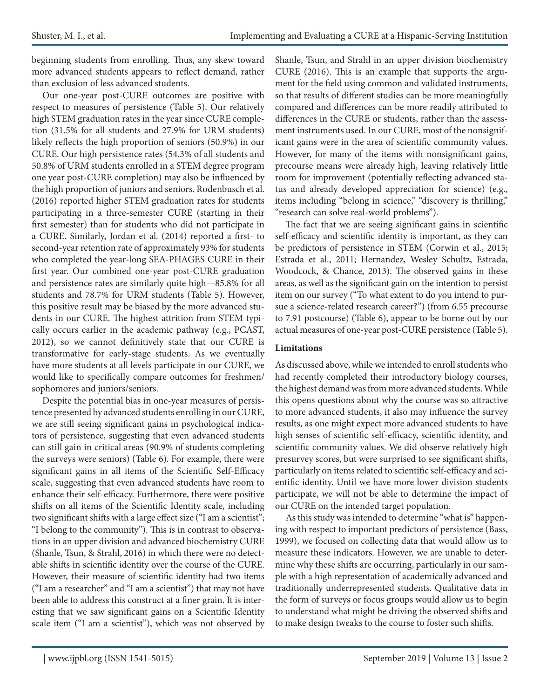beginning students from enrolling. Thus, any skew toward more advanced students appears to reflect demand, rather than exclusion of less advanced students.

Our one-year post-CURE outcomes are positive with respect to measures of persistence (Table 5). Our relatively high STEM graduation rates in the year since CURE completion (31.5% for all students and 27.9% for URM students) likely reflects the high proportion of seniors (50.9%) in our CURE. Our high persistence rates (54.3% of all students and 50.8% of URM students enrolled in a STEM degree program one year post-CURE completion) may also be influenced by the high proportion of juniors and seniors. Rodenbusch et al. (2016) reported higher STEM graduation rates for students participating in a three-semester CURE (starting in their first semester) than for students who did not participate in a CURE. Similarly, Jordan et al. (2014) reported a first- to second-year retention rate of approximately 93% for students who completed the year-long SEA-PHAGES CURE in their first year. Our combined one-year post-CURE graduation and persistence rates are similarly quite high—85.8% for all students and 78.7% for URM students (Table 5). However, this positive result may be biased by the more advanced students in our CURE. The highest attrition from STEM typically occurs earlier in the academic pathway (e.g., PCAST, 2012), so we cannot definitively state that our CURE is transformative for early-stage students. As we eventually have more students at all levels participate in our CURE, we would like to specifically compare outcomes for freshmen/ sophomores and juniors/seniors.

Despite the potential bias in one-year measures of persistence presented by advanced students enrolling in our CURE, we are still seeing significant gains in psychological indicators of persistence, suggesting that even advanced students can still gain in critical areas (90.9% of students completing the surveys were seniors) (Table 6). For example, there were significant gains in all items of the Scientific Self-Efficacy scale, suggesting that even advanced students have room to enhance their self-efficacy. Furthermore, there were positive shifts on all items of the Scientific Identity scale, including two significant shifts with a large effect size ("I am a scientist"; "I belong to the community"). This is in contrast to observations in an upper division and advanced biochemistry CURE (Shanle, Tsun, & Strahl, 2016) in which there were no detectable shifts in scientific identity over the course of the CURE. However, their measure of scientific identity had two items ("I am a researcher" and "I am a scientist") that may not have been able to address this construct at a finer grain. It is interesting that we saw significant gains on a Scientific Identity scale item ("I am a scientist"), which was not observed by

Shanle, Tsun, and Strahl in an upper division biochemistry CURE (2016). This is an example that supports the argument for the field using common and validated instruments, so that results of different studies can be more meaningfully compared and differences can be more readily attributed to differences in the CURE or students, rather than the assessment instruments used. In our CURE, most of the nonsignificant gains were in the area of scientific community values. However, for many of the items with nonsignificant gains, precourse means were already high, leaving relatively little room for improvement (potentially reflecting advanced status and already developed appreciation for science) (e.g., items including "belong in science," "discovery is thrilling," "research can solve real-world problems").

The fact that we are seeing significant gains in scientific self-efficacy and scientific identity is important, as they can be predictors of persistence in STEM (Corwin et al., 2015; Estrada et al., 2011; Hernandez, Wesley Schultz, Estrada, Woodcock, & Chance, 2013). The observed gains in these areas, as well as the significant gain on the intention to persist item on our survey ("To what extent to do you intend to pursue a science-related research career?") (from 6.55 precourse to 7.91 postcourse) (Table 6), appear to be borne out by our actual measures of one-year post-CURE persistence (Table 5).

#### **Limitations**

As discussed above, while we intended to enroll students who had recently completed their introductory biology courses, the highest demand was from more advanced students. While this opens questions about why the course was so attractive to more advanced students, it also may influence the survey results, as one might expect more advanced students to have high senses of scientific self-efficacy, scientific identity, and scientific community values. We did observe relatively high presurvey scores, but were surprised to see significant shifts, particularly on items related to scientific self-efficacy and scientific identity. Until we have more lower division students participate, we will not be able to determine the impact of our CURE on the intended target population.

As this study was intended to determine "what is" happening with respect to important predictors of persistence (Bass, 1999), we focused on collecting data that would allow us to measure these indicators. However, we are unable to determine why these shifts are occurring, particularly in our sample with a high representation of academically advanced and traditionally underrepresented students. Qualitative data in the form of surveys or focus groups would allow us to begin to understand what might be driving the observed shifts and to make design tweaks to the course to foster such shifts.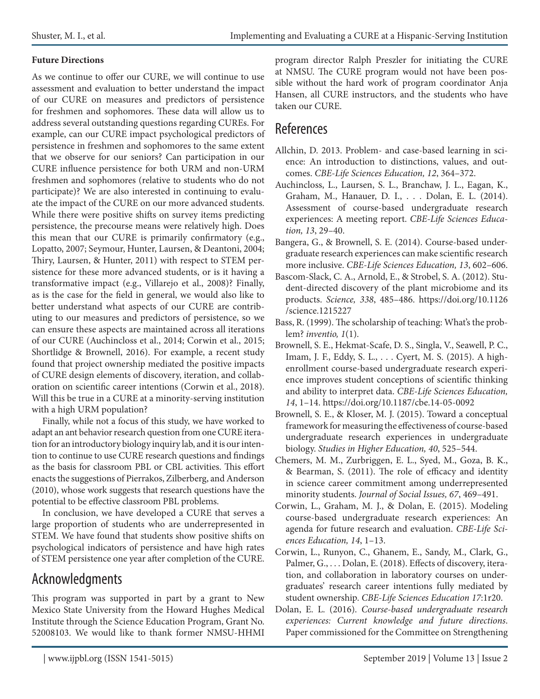#### **Future Directions**

As we continue to offer our CURE, we will continue to use assessment and evaluation to better understand the impact of our CURE on measures and predictors of persistence for freshmen and sophomores. These data will allow us to address several outstanding questions regarding CUREs. For example, can our CURE impact psychological predictors of persistence in freshmen and sophomores to the same extent that we observe for our seniors? Can participation in our CURE influence persistence for both URM and non-URM freshmen and sophomores (relative to students who do not participate)? We are also interested in continuing to evaluate the impact of the CURE on our more advanced students. While there were positive shifts on survey items predicting persistence, the precourse means were relatively high. Does this mean that our CURE is primarily confirmatory (e.g., Lopatto, 2007; Seymour, Hunter, Laursen, & Deantoni, 2004; Thiry, Laursen, & Hunter, 2011) with respect to STEM persistence for these more advanced students, or is it having a transformative impact (e.g., Villarejo et al., 2008)? Finally, as is the case for the field in general, we would also like to better understand what aspects of our CURE are contributing to our measures and predictors of persistence, so we can ensure these aspects are maintained across all iterations of our CURE (Auchincloss et al., 2014; Corwin et al., 2015; Shortlidge & Brownell, 2016). For example, a recent study found that project ownership mediated the positive impacts of CURE design elements of discovery, iteration, and collaboration on scientific career intentions (Corwin et al., 2018). Will this be true in a CURE at a minority-serving institution with a high URM population?

Finally, while not a focus of this study, we have worked to adapt an ant behavior research question from one CURE iteration for an introductory biology inquiry lab, and it is our intention to continue to use CURE research questions and findings as the basis for classroom PBL or CBL activities. This effort enacts the suggestions of Pierrakos, Zilberberg, and Anderson (2010), whose work suggests that research questions have the potential to be effective classroom PBL problems.

In conclusion, we have developed a CURE that serves a large proportion of students who are underrepresented in STEM. We have found that students show positive shifts on psychological indicators of persistence and have high rates of STEM persistence one year after completion of the CURE.

### Acknowledgments

This program was supported in part by a grant to New Mexico State University from the Howard Hughes Medical Institute through the Science Education Program, Grant No. 52008103. We would like to thank former NMSU-HHMI program director Ralph Preszler for initiating the CURE at NMSU. The CURE program would not have been possible without the hard work of program coordinator Anja Hansen, all CURE instructors, and the students who have taken our CURE.

### References

- Allchin, D. 2013. Problem- and case-based learning in science: An introduction to distinctions, values, and outcomes. *CBE-Life Sciences Education, 12*, 364–372.
- Auchincloss, L., Laursen, S. L., Branchaw, J. L., Eagan, K., Graham, M., Hanauer, D. I., . . . Dolan, E. L. (2014). Assessment of course-based undergraduate research experiences: A meeting report. *CBE-Life Sciences Education, 13*, 29–40.
- Bangera, G., & Brownell, S. E. (2014). Course-based undergraduate research experiences can make scientific research more inclusive. *CBE-Life Sciences Education, 13*, 602–606.
- Bascom-Slack, C. A., Arnold, E., & Strobel, S. A. (2012). Student-directed discovery of the plant microbiome and its products. *Science, 338*, 485–486. https://doi.org/10.1126 /science.1215227
- Bass, R. (1999). The scholarship of teaching: What's the problem? *inventio, 1*(1).
- Brownell, S. E., Hekmat-Scafe, D. S., Singla, V., Seawell, P. C., Imam, J. F., Eddy, S. L., . . . Cyert, M. S. (2015). A highenrollment course-based undergraduate research experience improves student conceptions of scientific thinking and ability to interpret data. *CBE-Life Sciences Education, 14*, 1–14. https://doi.org/10.1187/cbe.14-05-0092
- Brownell, S. E., & Kloser, M. J. (2015). Toward a conceptual framework for measuring the effectiveness of course-based undergraduate research experiences in undergraduate biology. *Studies in Higher Education, 40*, 525–544.
- Chemers, M. M., Zurbriggen, E. L., Syed, M., Goza, B. K., & Bearman, S. (2011). The role of efficacy and identity in science career commitment among underrepresented minority students. *Journal of Social Issues, 67*, 469–491.
- Corwin, L., Graham, M. J., & Dolan, E. (2015). Modeling course-based undergraduate research experiences: An agenda for future research and evaluation. *CBE-Life Sciences Education, 14*, 1–13.
- Corwin, L., Runyon, C., Ghanem, E., Sandy, M., Clark, G., Palmer, G., ... Dolan, E. (2018). Effects of discovery, iteration, and collaboration in laboratory courses on undergraduates' research career intentions fully mediated by student ownership. *CBE-Life Sciences Education 17*:1r20.
- Dolan, E. L. (2016). *Course-based undergraduate research experiences: Current knowledge and future directions*. Paper commissioned for the Committee on Strengthening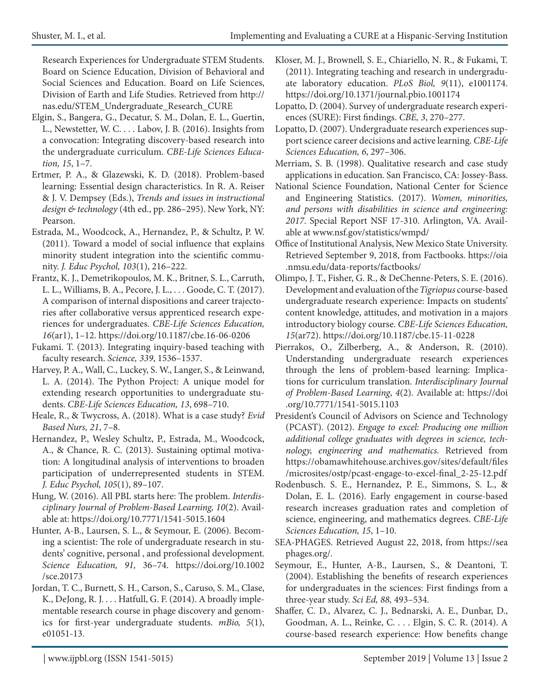Research Experiences for Undergraduate STEM Students. Board on Science Education, Division of Behavioral and Social Sciences and Education. Board on Life Sciences, Division of Earth and Life Studies. Retrieved from http:// nas.edu/STEM\_Undergraduate\_Research\_CURE

- Elgin, S., Bangera, G., Decatur, S. M., Dolan, E. L., Guertin, L., Newstetter, W. C. . . . Labov, J. B. (2016). Insights from a convocation: Integrating discovery-based research into the undergraduate curriculum. *CBE-Life Sciences Education, 15*, 1–7.
- Ertmer, P. A., & Glazewski, K. D. (2018). Problem-based learning: Essential design characteristics. In R. A. Reiser & J. V. Dempsey (Eds.), *Trends and issues in instructional design & technology* (4th ed., pp. 286–295). New York, NY: Pearson.
- Estrada, M., Woodcock, A., Hernandez, P., & Schultz, P. W. (2011). Toward a model of social influence that explains minority student integration into the scientific community. *J. Educ Psychol, 103*(1), 216–222.
- Frantz, K. J., Demetrikopoulos, M. K., Britner, S. L., Carruth, L. L., Williams, B. A., Pecore, J. L., . . . Goode, C. T. (2017). A comparison of internal dispositions and career trajectories after collaborative versus apprenticed research experiences for undergraduates. *CBE-Life Sciences Education, 16*(ar1), 1–12. https://doi.org/10.1187/cbe.16-06-0206
- Fukami. T. (2013). Integrating inquiry-based teaching with faculty research. *Science, 339*, 1536–1537.
- Harvey, P. A., Wall, C., Luckey, S. W., Langer, S., & Leinwand, L. A. (2014). The Python Project: A unique model for extending research opportunities to undergraduate students. *CBE-Life Sciences Education, 13*, 698–710.
- Heale, R., & Twycross, A. (2018). What is a case study? *Evid Based Nurs, 21*, 7–8.
- Hernandez, P., Wesley Schultz, P., Estrada, M., Woodcock, A., & Chance, R. C. (2013). Sustaining optimal motivation: A longitudinal analysis of interventions to broaden participation of underrepresented students in STEM. *J. Educ Psychol, 105*(1), 89–107.
- Hung, W. (2016). All PBL starts here: The problem. *Interdisciplinary Journal of Problem-Based Learning, 10*(2). Available at: https://doi.org/10.7771/1541-5015.1604
- Hunter, A-B., Laursen, S. L., & Seymour, E. (2006). Becoming a scientist: The role of undergraduate research in students' cognitive, personal , and professional development. *Science Education, 91,* 36–74. https://doi.org/10.1002 /sce.20173
- Jordan, T. C., Burnett, S. H., Carson, S., Caruso, S. M., Clase, K., DeJong, R. J. . . . Hatfull, G. F. (2014). A broadly implementable research course in phage discovery and genomics for first-year undergraduate students. *mBio, 5*(1), e01051-13.
- Kloser, M. J., Brownell, S. E., Chiariello, N. R., & Fukami, T. (2011). Integrating teaching and research in undergraduate laboratory education. *PLoS Biol, 9*(11), e1001174. https://doi.org/10.1371/journal.pbio.1001174
- Lopatto, D. (2004). Survey of undergraduate research experiences (SURE): First findings. *CBE, 3*, 270–277.
- Lopatto, D. (2007). Undergraduate research experiences support science career decisions and active learning. *CBE-Life Sciences Education, 6*, 297–306.
- Merriam, S. B. (1998). Qualitative research and case study applications in education. San Francisco, CA: Jossey-Bass.
- National Science Foundation, National Center for Science and Engineering Statistics. (2017). *Women, minorities, and persons with disabilities in science and engineering: 2017*. Special Report NSF 17-310. Arlington, VA. Available at www.nsf.gov/statistics/wmpd/
- Office of Institutional Analysis, New Mexico State University. Retrieved September 9, 2018, from Factbooks. https://oia .nmsu.edu/data-reports/factbooks/
- Olimpo, J. T., Fisher, G. R., & DeChenne-Peters, S. E. (2016). Development and evaluation of the *Tigriopus* course-based undergraduate research experience: Impacts on students' content knowledge, attitudes, and motivation in a majors introductory biology course. *CBE-Life Sciences Education, 15*(ar72). https://doi.org/10.1187/cbe.15-11-0228
- Pierrakos, O., Zilberberg, A., & Anderson, R. (2010). Understanding undergraduate research experiences through the lens of problem-based learning: Implications for curriculum translation. *Interdisciplinary Journal of Problem-Based Learning*, *4*(2). Available at: https://doi .org/10.7771/1541-5015.1103
- President's Council of Advisors on Science and Technology (PCAST). (2012). *Engage to excel: Producing one million additional college graduates with degrees in science, technology, engineering and mathematics.* Retrieved from https://obamawhitehouse.archives.gov/sites/default/files /microsites/ostp/pcast-engage-to-excel-final\_2-25-12.pdf
- Rodenbusch. S. E., Hernandez, P. E., Simmons, S. L., & Dolan, E. L. (2016). Early engagement in course-based research increases graduation rates and completion of science, engineering, and mathematics degrees. *CBE-Life Sciences Education, 15*, 1–10.
- SEA-PHAGES. Retrieved August 22, 2018, from https://sea phages.org/.
- Seymour, E., Hunter, A-B., Laursen, S., & Deantoni, T. (2004). Establishing the benefits of research experiences for undergraduates in the sciences: First findings from a three-year study. *Sci Ed, 88,* 493–534.
- Shaffer, C. D., Alvarez, C. J., Bednarski, A. E., Dunbar, D., Goodman, A. L., Reinke, C. . . . Elgin, S. C. R. (2014). A course-based research experience: How benefits change